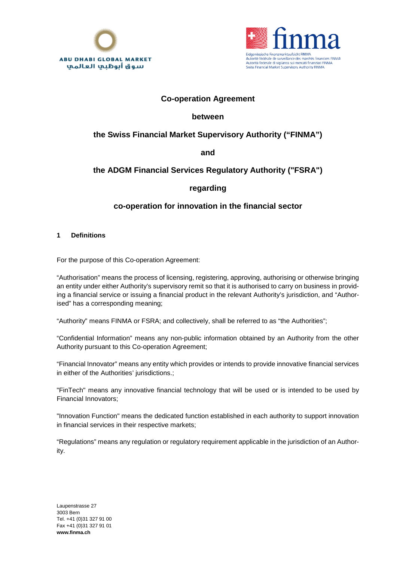



# **Co-operation Agreement**

## **between**

# **the Swiss Financial Market Supervisory Authority ("FINMA")**

**and**

# **the ADGM Financial Services Regulatory Authority ("FSRA")**

## **regarding**

## **co-operation for innovation in the financial sector**

### **1 Definitions**

For the purpose of this Co-operation Agreement:

"Authorisation" means the process of licensing, registering, approving, authorising or otherwise bringing an entity under either Authority's supervisory remit so that it is authorised to carry on business in providing a financial service or issuing a financial product in the relevant Authority's jurisdiction, and "Authorised" has a corresponding meaning;

"Authority" means FINMA or FSRA; and collectively, shall be referred to as "the Authorities";

"Confidential Information" means any non-public information obtained by an Authority from the other Authority pursuant to this Co-operation Agreement;

"Financial Innovator" means any entity which provides or intends to provide innovative financial services in either of the Authorities' jurisdictions.;

"FinTech" means any innovative financial technology that will be used or is intended to be used by Financial Innovators;

"Innovation Function" means the dedicated function established in each authority to support innovation in financial services in their respective markets;

"Regulations" means any regulation or regulatory requirement applicable in the jurisdiction of an Authority.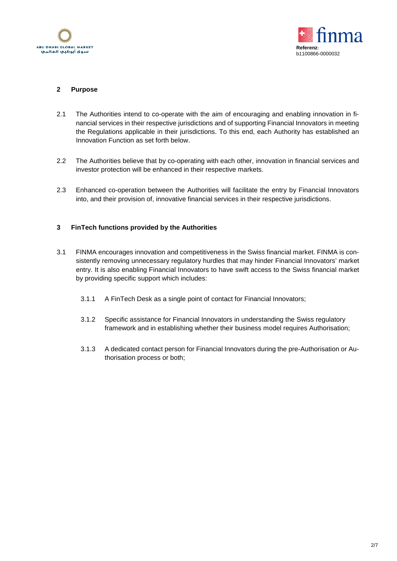



### **2 Purpose**

- 2.1 The Authorities intend to co-operate with the aim of encouraging and enabling innovation in financial services in their respective jurisdictions and of supporting Financial Innovators in meeting the Regulations applicable in their jurisdictions. To this end, each Authority has established an Innovation Function as set forth below.
- 2.2 The Authorities believe that by co-operating with each other, innovation in financial services and investor protection will be enhanced in their respective markets.
- 2.3 Enhanced co-operation between the Authorities will facilitate the entry by Financial Innovators into, and their provision of, innovative financial services in their respective jurisdictions.

#### **3 FinTech functions provided by the Authorities**

- 3.1 FINMA encourages innovation and competitiveness in the Swiss financial market. FINMA is consistently removing unnecessary regulatory hurdles that may hinder Financial Innovators' market entry. It is also enabling Financial Innovators to have swift access to the Swiss financial market by providing specific support which includes:
	- 3.1.1 A FinTech Desk as a single point of contact for Financial Innovators;
	- 3.1.2 Specific assistance for Financial Innovators in understanding the Swiss regulatory framework and in establishing whether their business model requires Authorisation;
	- 3.1.3 A dedicated contact person for Financial Innovators during the pre-Authorisation or Authorisation process or both;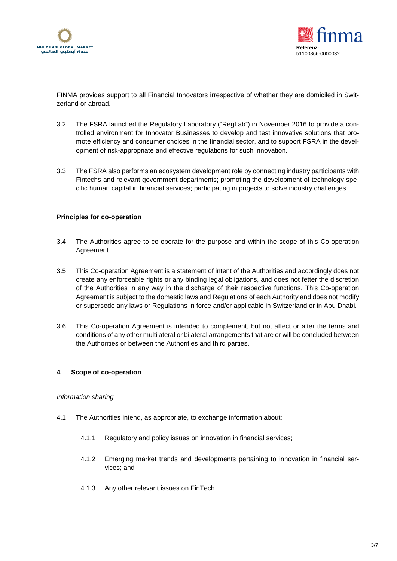



FINMA provides support to all Financial Innovators irrespective of whether they are domiciled in Switzerland or abroad.

- 3.2 The FSRA launched the Regulatory Laboratory ("RegLab") in November 2016 to provide a controlled environment for Innovator Businesses to develop and test innovative solutions that promote efficiency and consumer choices in the financial sector, and to support FSRA in the development of risk-appropriate and effective regulations for such innovation.
- 3.3 The FSRA also performs an ecosystem development role by connecting industry participants with Fintechs and relevant government departments; promoting the development of technology-specific human capital in financial services; participating in projects to solve industry challenges.

#### **Principles for co-operation**

- 3.4 The Authorities agree to co-operate for the purpose and within the scope of this Co-operation Agreement.
- 3.5 This Co-operation Agreement is a statement of intent of the Authorities and accordingly does not create any enforceable rights or any binding legal obligations, and does not fetter the discretion of the Authorities in any way in the discharge of their respective functions. This Co-operation Agreement is subject to the domestic laws and Regulations of each Authority and does not modify or supersede any laws or Regulations in force and/or applicable in Switzerland or in Abu Dhabi.
- 3.6 This Co-operation Agreement is intended to complement, but not affect or alter the terms and conditions of any other multilateral or bilateral arrangements that are or will be concluded between the Authorities or between the Authorities and third parties.

#### **4 Scope of co-operation**

#### *Information sharing*

- 4.1 The Authorities intend, as appropriate, to exchange information about:
	- 4.1.1 Regulatory and policy issues on innovation in financial services;
	- 4.1.2 Emerging market trends and developments pertaining to innovation in financial services; and
	- 4.1.3 Any other relevant issues on FinTech.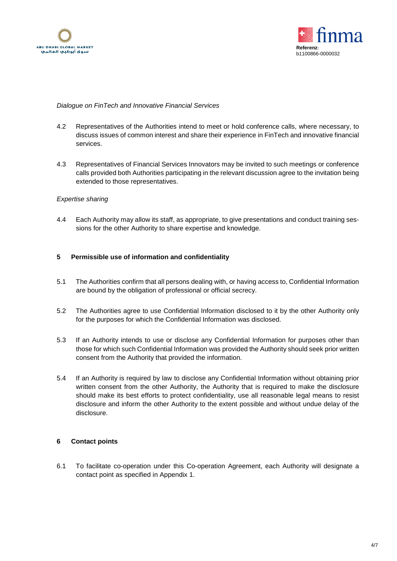



#### *Dialogue on FinTech and Innovative Financial Services*

- 4.2 Representatives of the Authorities intend to meet or hold conference calls, where necessary, to discuss issues of common interest and share their experience in FinTech and innovative financial services.
- 4.3 Representatives of Financial Services Innovators may be invited to such meetings or conference calls provided both Authorities participating in the relevant discussion agree to the invitation being extended to those representatives.

#### *Expertise sharing*

4.4 Each Authority may allow its staff, as appropriate, to give presentations and conduct training sessions for the other Authority to share expertise and knowledge.

#### **5 Permissible use of information and confidentiality**

- 5.1 The Authorities confirm that all persons dealing with, or having access to, Confidential Information are bound by the obligation of professional or official secrecy.
- 5.2 The Authorities agree to use Confidential Information disclosed to it by the other Authority only for the purposes for which the Confidential Information was disclosed.
- 5.3 If an Authority intends to use or disclose any Confidential Information for purposes other than those for which such Confidential Information was provided the Authority should seek prior written consent from the Authority that provided the information.
- 5.4 If an Authority is required by law to disclose any Confidential Information without obtaining prior written consent from the other Authority, the Authority that is required to make the disclosure should make its best efforts to protect confidentiality, use all reasonable legal means to resist disclosure and inform the other Authority to the extent possible and without undue delay of the disclosure.

#### **6 Contact points**

6.1 To facilitate co-operation under this Co-operation Agreement, each Authority will designate a contact point as specified in Appendix 1.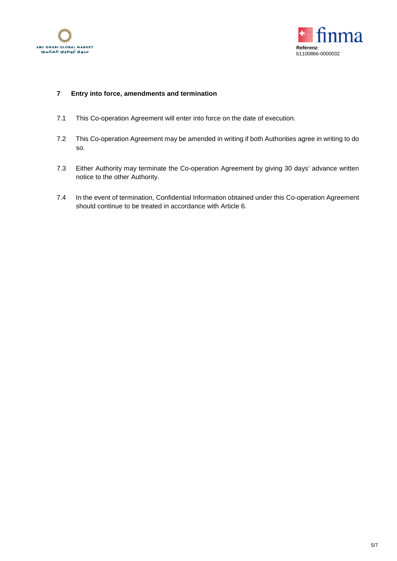



#### **7 Entry into force, amendments and termination**

- 7.1 This Co-operation Agreement will enter into force on the date of execution.
- 7.2 This Co-operation Agreement may be amended in writing if both Authorities agree in writing to do so.
- 7.3 Either Authority may terminate the Co-operation Agreement by giving 30 days' advance written notice to the other Authority.
- 7.4 In the event of termination, Confidential Information obtained under this Co-operation Agreement should continue to be treated in accordance with Article 6.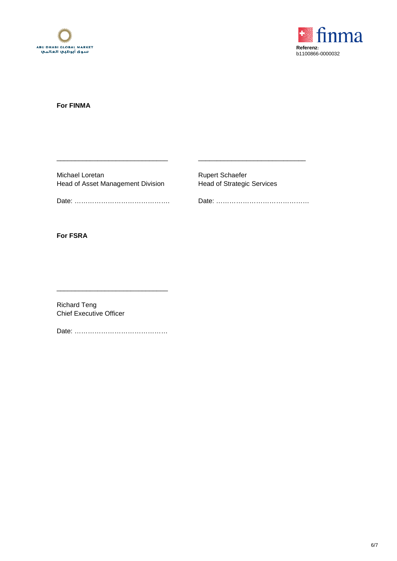



### **For FINMA**

Michael Loretan **Rupert Schaefer** Rupert Schaefer Head of Asset Management Division Head of Strategic Services

\_\_\_\_\_\_\_\_\_\_\_\_\_\_\_\_\_\_\_\_\_\_\_\_\_\_\_\_\_\_ \_\_\_\_\_\_\_\_\_\_\_\_\_\_\_\_\_\_\_\_\_\_\_\_\_\_\_\_\_

Date: ……………………………………. Date: ……………………………………

**For FSRA**

Richard Teng Chief Executive Officer

Date: ……………………………………

\_\_\_\_\_\_\_\_\_\_\_\_\_\_\_\_\_\_\_\_\_\_\_\_\_\_\_\_\_\_